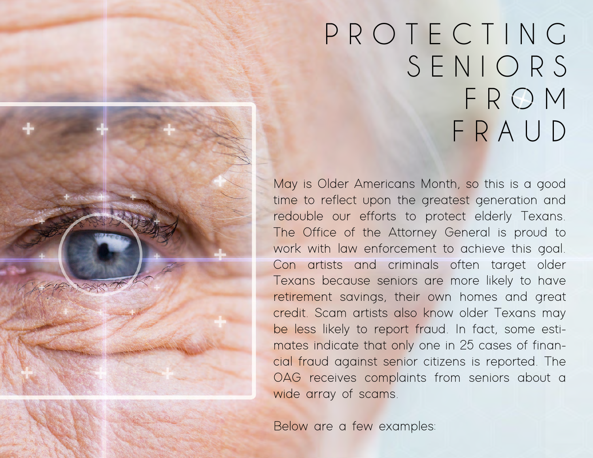# P R O T E C T I N G S E N I O R S F R O M F R A U D

May is Older Americans Month, so this is a good time to reflect upon the greatest generation and redouble our efforts to protect elderly Texans. The Office of the Attorney General is proud to work with law enforcement to achieve this goal. Con artists and criminals often target older Texans because seniors are more likely to have retirement savings, their own homes and great credit. Scam artists also know older Texans may be less likely to report fraud. In fact, some estimates indicate that only one in 25 cases of financial fraud against senior citizens is reported. The OAG receives complaints from seniors about a wide array of scams.

Below are a few examples: